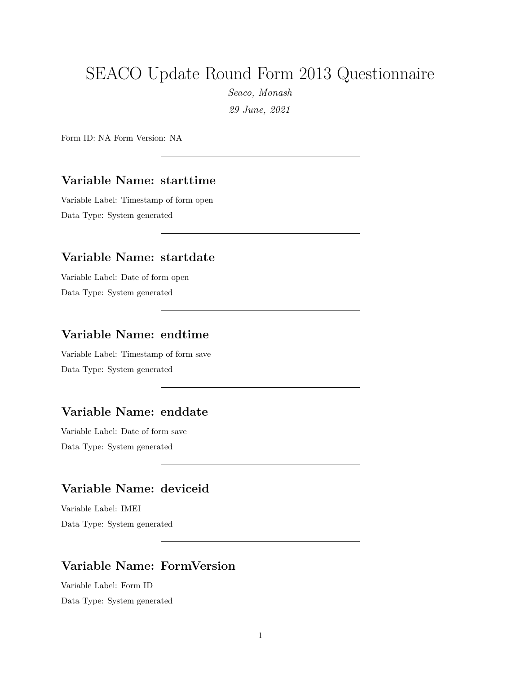# SEACO Update Round Form 2013 Questionnaire

*Seaco, Monash 29 June, 2021*

Form ID: NA Form Version: NA

#### **Variable Name: starttime**

Variable Label: Timestamp of form open Data Type: System generated

#### **Variable Name: startdate**

Variable Label: Date of form open Data Type: System generated

#### **Variable Name: endtime**

Variable Label: Timestamp of form save Data Type: System generated

#### **Variable Name: enddate**

Variable Label: Date of form save Data Type: System generated

## **Variable Name: deviceid**

Variable Label: IMEI Data Type: System generated

#### **Variable Name: FormVersion**

Variable Label: Form ID Data Type: System generated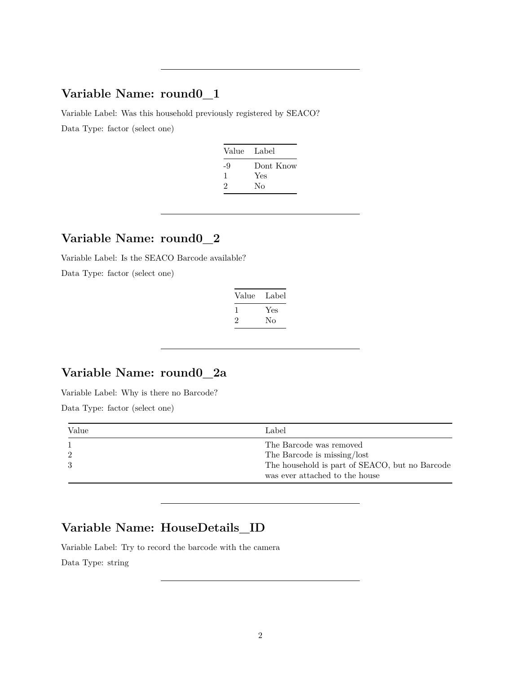### **Variable Name: round0\_1**

Variable Label: Was this household previously registered by SEACO? Data Type: factor (select one)

| Value | Label     |
|-------|-----------|
| -9    | Dont Know |
| л.    | Yes       |
| 2     | Nο        |
|       |           |

#### **Variable Name: round0\_2**

Variable Label: Is the SEACO Barcode available?

Data Type: factor (select one)

| Value | Label |
|-------|-------|
|       | Yes   |
| '2    | Nο    |

## **Variable Name: round0\_2a**

Variable Label: Why is there no Barcode?

Data Type: factor (select one)

| Value | Label                                                                            |
|-------|----------------------------------------------------------------------------------|
|       | The Barcode was removed                                                          |
|       | The Barcode is missing/lost                                                      |
|       | The household is part of SEACO, but no Barcode<br>was ever attached to the house |

## **Variable Name: HouseDetails\_ID**

Variable Label: Try to record the barcode with the camera

Data Type: string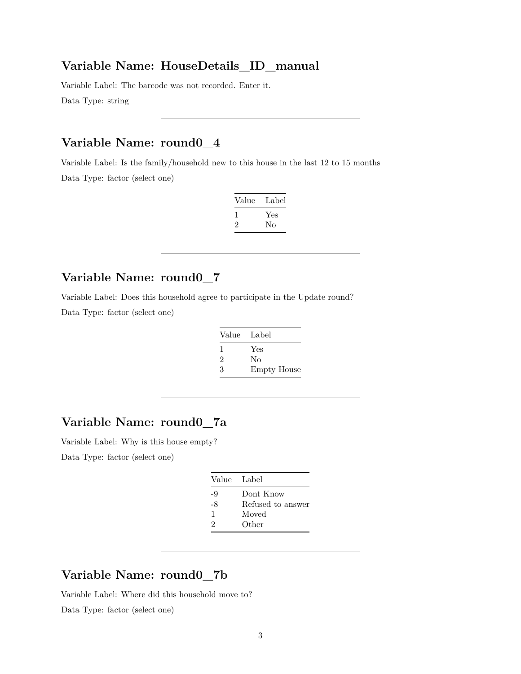#### **Variable Name: HouseDetails\_ID\_manual**

Variable Label: The barcode was not recorded. Enter it. Data Type: string

### **Variable Name: round0\_4**

Variable Label: Is the family/household new to this house in the last 12 to 15 months Data Type: factor (select one)

| Value | Label |
|-------|-------|
| L     | Yes   |
| '2    | No    |
|       |       |

### **Variable Name: round0\_7**

Variable Label: Does this household agree to participate in the Update round? Data Type: factor (select one)

| Value Label |                    |
|-------------|--------------------|
| 1           | Yes                |
| 2           | No                 |
| 3           | <b>Empty House</b> |

### **Variable Name: round0\_7a**

Variable Label: Why is this house empty?

Data Type: factor (select one)

|    | Value Label       |
|----|-------------------|
| -9 | Dont Know         |
| -8 | Refused to answer |
| 1  | Moved             |
| 2  | Other             |

#### **Variable Name: round0\_7b**

Variable Label: Where did this household move to?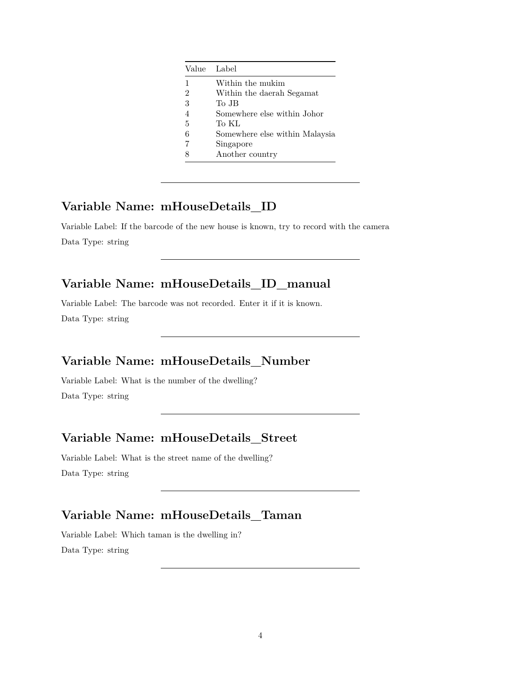|   | Value Label                    |
|---|--------------------------------|
| 1 | Within the mukim               |
| 2 | Within the daerah Segamat      |
| 3 | To JB                          |
| 4 | Somewhere else within Johor    |
| 5 | To KL                          |
| 6 | Somewhere else within Malaysia |
|   | Singapore                      |
|   | Another country                |

#### **Variable Name: mHouseDetails\_ID**

Variable Label: If the barcode of the new house is known, try to record with the camera Data Type: string

### **Variable Name: mHouseDetails\_ID\_manual**

Variable Label: The barcode was not recorded. Enter it if it is known. Data Type: string

### **Variable Name: mHouseDetails\_Number**

Variable Label: What is the number of the dwelling? Data Type: string

### **Variable Name: mHouseDetails\_Street**

Variable Label: What is the street name of the dwelling? Data Type: string

### **Variable Name: mHouseDetails\_Taman**

Variable Label: Which taman is the dwelling in? Data Type: string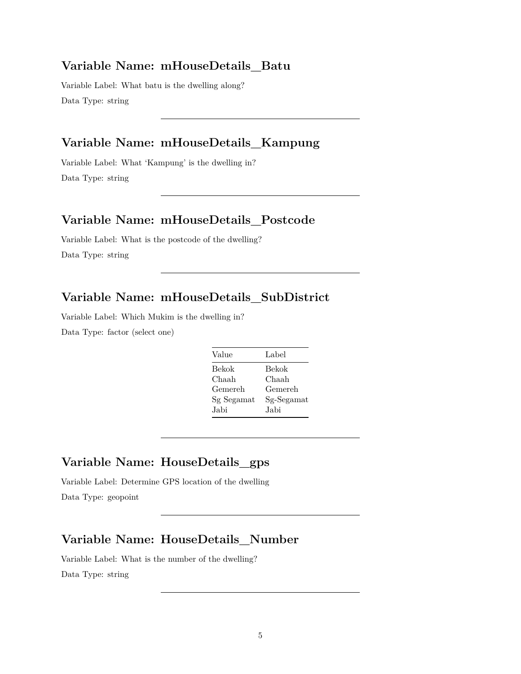#### **Variable Name: mHouseDetails\_Batu**

Variable Label: What batu is the dwelling along? Data Type: string

## **Variable Name: mHouseDetails\_Kampung**

Variable Label: What 'Kampung' is the dwelling in? Data Type: string

#### **Variable Name: mHouseDetails\_Postcode**

Variable Label: What is the postcode of the dwelling? Data Type: string

## **Variable Name: mHouseDetails\_SubDistrict**

Variable Label: Which Mukim is the dwelling in?

Data Type: factor (select one)

| Value      | Label      |
|------------|------------|
| Bekok      | Bekok      |
| Chaah      | Chaah      |
| Gemereh    | Gemereh    |
| Sg Segamat | Sg-Segamat |
| Jabi       | .Jabi      |

## **Variable Name: HouseDetails\_gps**

Variable Label: Determine GPS location of the dwelling Data Type: geopoint

#### **Variable Name: HouseDetails\_Number**

Variable Label: What is the number of the dwelling? Data Type: string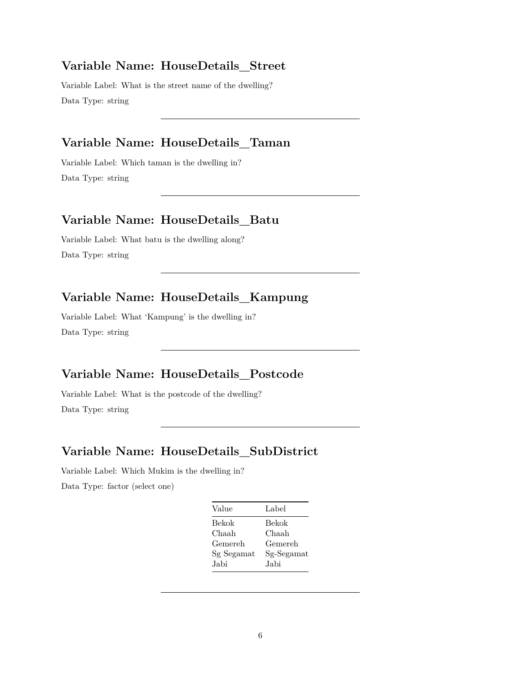#### **Variable Name: HouseDetails\_Street**

Variable Label: What is the street name of the dwelling? Data Type: string

### **Variable Name: HouseDetails\_Taman**

Variable Label: Which taman is the dwelling in? Data Type: string

#### **Variable Name: HouseDetails\_Batu**

Variable Label: What batu is the dwelling along? Data Type: string

### **Variable Name: HouseDetails\_Kampung**

Variable Label: What 'Kampung' is the dwelling in? Data Type: string

#### **Variable Name: HouseDetails\_Postcode**

Variable Label: What is the postcode of the dwelling? Data Type: string

#### **Variable Name: HouseDetails\_SubDistrict**

Variable Label: Which Mukim is the dwelling in?

| Value      | Label      |
|------------|------------|
| Bekok      | Bekok      |
| Chaah      | Chaah      |
| Gemereh    | Gemereh    |
| Sg Segamat | Sg-Segamat |
| Jabi       | .Jabi      |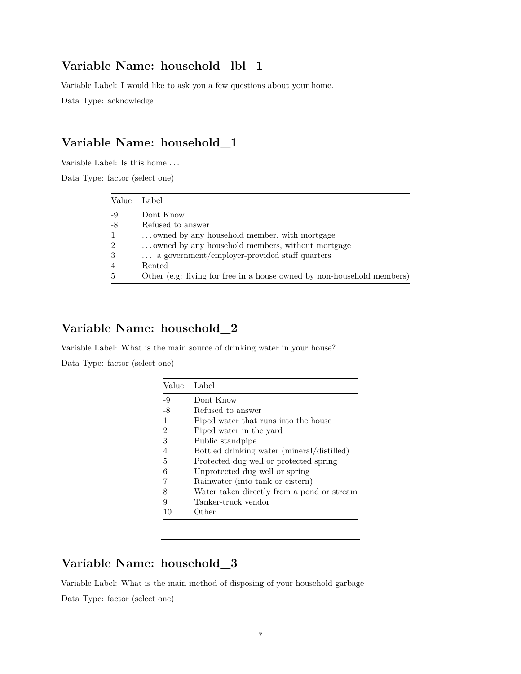### **Variable Name: household\_lbl\_1**

Variable Label: I would like to ask you a few questions about your home.

Data Type: acknowledge

### **Variable Name: household\_1**

Variable Label: Is this home . . .

Data Type: factor (select one)

| Value          | Label                                                                  |
|----------------|------------------------------------------------------------------------|
| $-9$           | Dont Know                                                              |
| $-8$           | Refused to answer                                                      |
| $\mathbf{1}$   | owned by any household member, with mortgage                           |
| $\overline{2}$ | owned by any household members, without mortgage                       |
| 3              | a government/employer-provided staff quarters                          |
| $\overline{4}$ | Rented                                                                 |
| $\overline{5}$ | Other (e.g: living for free in a house owned by non-household members) |

## **Variable Name: household\_2**

Variable Label: What is the main source of drinking water in your house? Data Type: factor (select one)

| Value | Label                                      |
|-------|--------------------------------------------|
| $-9$  | Dont Know                                  |
| $-8$  | Refused to answer                          |
|       | Piped water that runs into the house       |
| 2     | Piped water in the yard                    |
| 3     | Public standpipe                           |
| 4     | Bottled drinking water (mineral/distilled) |
| 5     | Protected dug well or protected spring     |
| 6     | Unprotected dug well or spring             |
|       | Rainwater (into tank or cistern)           |
| 8     | Water taken directly from a pond or stream |
| 9     | Tanker-truck vendor                        |
| 10    | Other                                      |

## **Variable Name: household\_3**

Variable Label: What is the main method of disposing of your household garbage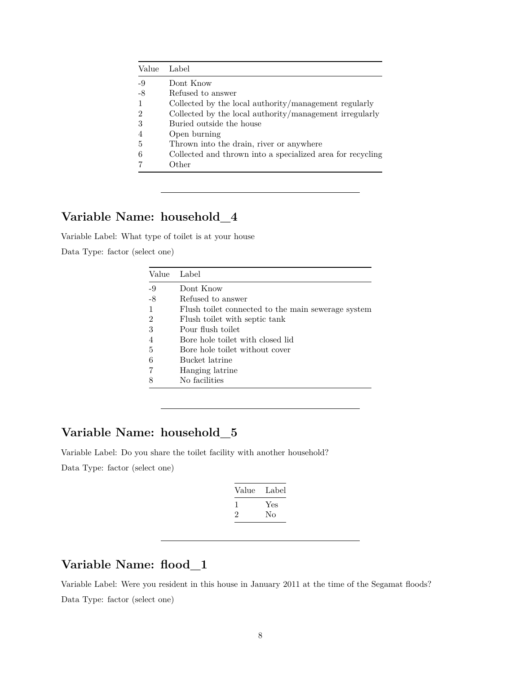| Value | Label                                                      |
|-------|------------------------------------------------------------|
| $-9$  | Dont Know                                                  |
| $-8$  | Refused to answer                                          |
|       | Collected by the local authority/management regularly      |
| 2     | Collected by the local authority/management irregularly    |
| 3     | Buried outside the house                                   |
|       | Open burning                                               |
| 5     | Thrown into the drain, river or anywhere                   |
| 6     | Collected and thrown into a specialized area for recycling |
|       | Other                                                      |

# **Variable Name: household\_4**

Variable Label: What type of toilet is at your house

Data Type: factor (select one)

| Value          | Label                                              |
|----------------|----------------------------------------------------|
| $-9$           | Dont Know                                          |
| $-8$           | Refused to answer                                  |
| -1             | Flush toilet connected to the main sewerage system |
| $\overline{2}$ | Flush toilet with septic tank                      |
| 3              | Pour flush toilet                                  |
| $\overline{4}$ | Bore hole toilet with closed lid                   |
| 5              | Bore hole toilet without cover                     |
| 6              | Bucket latrine                                     |
| 7              | Hanging latrine                                    |
| 8              | No facilities                                      |

## **Variable Name: household\_5**

Variable Label: Do you share the toilet facility with another household? Data Type: factor (select one)

| Value        | Label |
|--------------|-------|
| $\mathbf{I}$ | Yes   |
| 2            | Nο    |

### **Variable Name: flood\_1**

Variable Label: Were you resident in this house in January 2011 at the time of the Segamat floods? Data Type: factor (select one)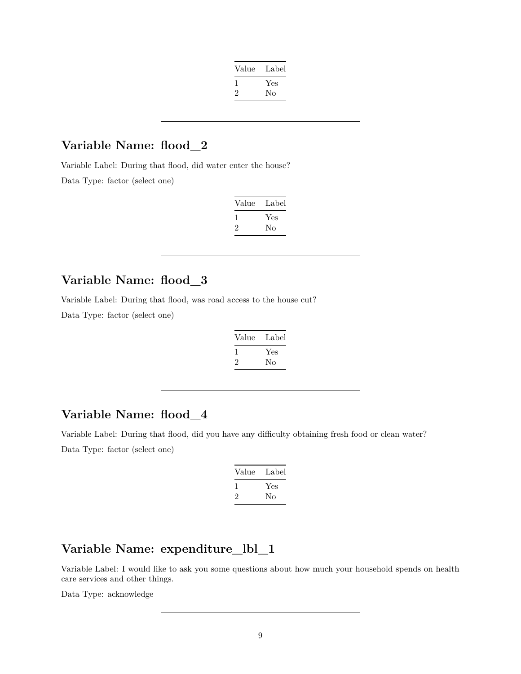| Value | Label |
|-------|-------|
|       | Yes   |
| '2    | Nο    |
|       |       |

## **Variable Name: flood\_2**

Variable Label: During that flood, did water enter the house? Data Type: factor (select one)

| Value | Label |
|-------|-------|
|       | Yes   |
|       | Nο    |

## **Variable Name: flood\_3**

Variable Label: During that flood, was road access to the house cut?

Data Type: factor (select one)

| Value | Label |
|-------|-------|
|       | Yes   |
| ۰,    | Nο    |

### **Variable Name: flood\_4**

Variable Label: During that flood, did you have any difficulty obtaining fresh food or clean water? Data Type: factor (select one)

| Value        | Label |
|--------------|-------|
| $\mathbf{I}$ | Yes   |
| ۰,           | No    |

## **Variable Name: expenditure\_lbl\_1**

Variable Label: I would like to ask you some questions about how much your household spends on health care services and other things.

Data Type: acknowledge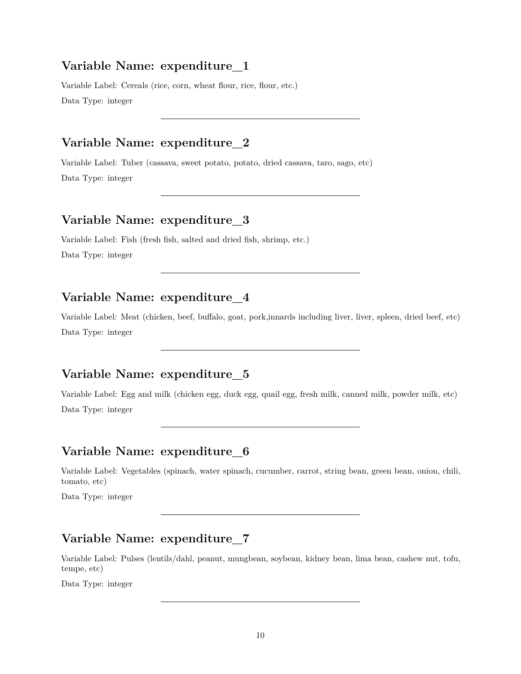Variable Label: Cereals (rice, corn, wheat flour, rice, flour, etc.) Data Type: integer

### **Variable Name: expenditure\_2**

Variable Label: Tuber (cassava, sweet potato, potato, dried cassava, taro, sago, etc) Data Type: integer

### **Variable Name: expenditure\_3**

Variable Label: Fish (fresh fish, salted and dried fish, shrimp, etc.) Data Type: integer

### **Variable Name: expenditure\_4**

Variable Label: Meat (chicken, beef, buffalo, goat, pork,innards including liver, liver, spleen, dried beef, etc) Data Type: integer

### **Variable Name: expenditure\_5**

Variable Label: Egg and milk (chicken egg, duck egg, quail egg, fresh milk, canned milk, powder milk, etc) Data Type: integer

### **Variable Name: expenditure\_6**

Variable Label: Vegetables (spinach, water spinach, cucumber, carrot, string bean, green bean, onion, chili, tomato, etc)

Data Type: integer

#### **Variable Name: expenditure\_7**

Variable Label: Pulses (lentils/dahl, peanut, mungbean, soybean, kidney bean, lima bean, cashew nut, tofu, tempe, etc)

Data Type: integer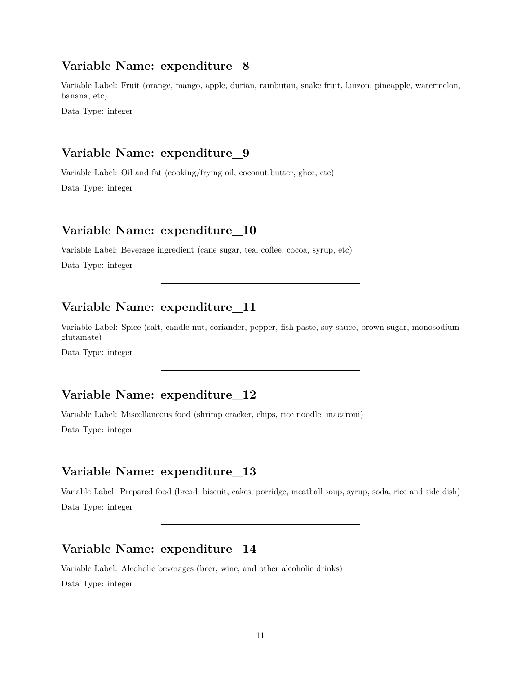Variable Label: Fruit (orange, mango, apple, durian, rambutan, snake fruit, lanzon, pineapple, watermelon, banana, etc)

Data Type: integer

## **Variable Name: expenditure\_9**

Variable Label: Oil and fat (cooking/frying oil, coconut,butter, ghee, etc) Data Type: integer

### **Variable Name: expenditure\_10**

Variable Label: Beverage ingredient (cane sugar, tea, coffee, cocoa, syrup, etc)

Data Type: integer

### **Variable Name: expenditure\_11**

Variable Label: Spice (salt, candle nut, coriander, pepper, fish paste, soy sauce, brown sugar, monosodium glutamate)

Data Type: integer

#### **Variable Name: expenditure\_12**

Variable Label: Miscellaneous food (shrimp cracker, chips, rice noodle, macaroni)

Data Type: integer

#### **Variable Name: expenditure\_13**

Variable Label: Prepared food (bread, biscuit, cakes, porridge, meatball soup, syrup, soda, rice and side dish) Data Type: integer

### **Variable Name: expenditure\_14**

Variable Label: Alcoholic beverages (beer, wine, and other alcoholic drinks) Data Type: integer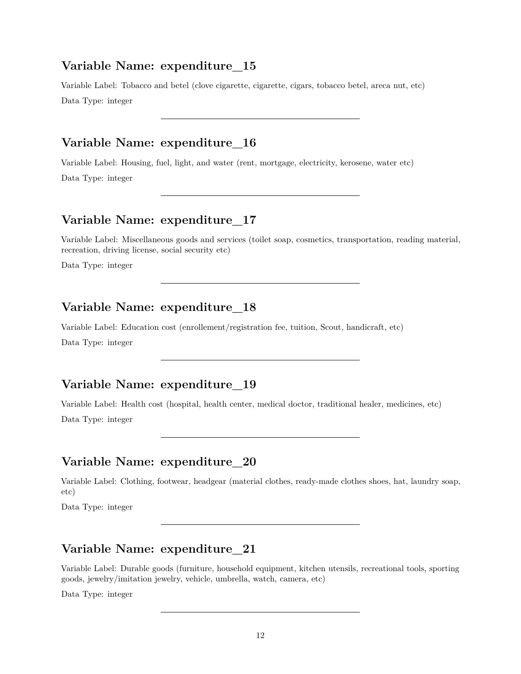Variable Label: Tobacco and betel (clove cigarette, cigarette, cigars, tobacco betel, areca nut, etc) Data Type: integer

## **Variable Name: expenditure\_16**

Variable Label: Housing, fuel, light, and water (rent, mortgage, electricity, kerosene, water etc)

Data Type: integer

### **Variable Name: expenditure\_17**

Variable Label: Miscellaneous goods and services (toilet soap, cosmetics, transportation, reading material, recreation, driving license, social security etc)

Data Type: integer

### **Variable Name: expenditure\_18**

Variable Label: Education cost (enrollement/registration fee, tuition, Scout, handicraft, etc)

Data Type: integer

### **Variable Name: expenditure\_19**

Variable Label: Health cost (hospital, health center, medical doctor, traditional healer, medicines, etc) Data Type: integer

### **Variable Name: expenditure\_20**

Variable Label: Clothing, footwear, headgear (material clothes, ready-made clothes shoes, hat, laundry soap, etc)

Data Type: integer

### **Variable Name: expenditure\_21**

Variable Label: Durable goods (furniture, household equipment, kitchen utensils, recreational tools, sporting goods, jewelry/imitation jewelry, vehicle, umbrella, watch, camera, etc)

Data Type: integer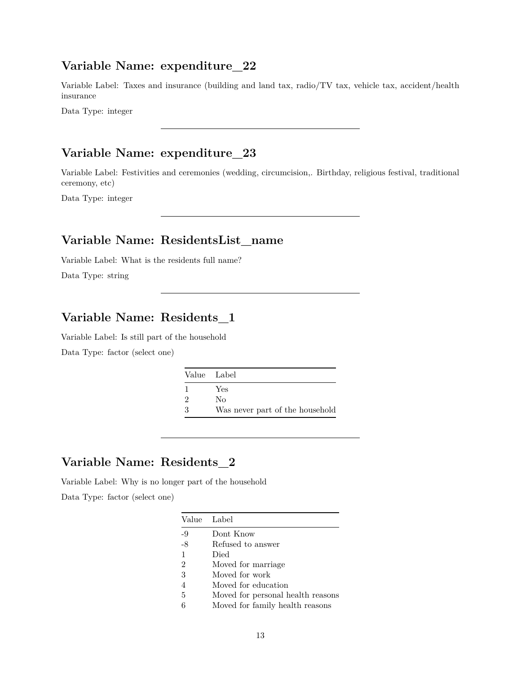Variable Label: Taxes and insurance (building and land tax, radio/TV tax, vehicle tax, accident/health insurance

Data Type: integer

## **Variable Name: expenditure\_23**

Variable Label: Festivities and ceremonies (wedding, circumcision,. Birthday, religious festival, traditional ceremony, etc)

Data Type: integer

### **Variable Name: ResidentsList\_name**

Variable Label: What is the residents full name?

Data Type: string

### **Variable Name: Residents\_1**

Variable Label: Is still part of the household Data Type: factor (select one)

| Value Label   |                                 |
|---------------|---------------------------------|
|               | Yes                             |
| $\mathcal{D}$ | Nο                              |
| $\cdot$ 3     | Was never part of the household |

### **Variable Name: Residents\_2**

Variable Label: Why is no longer part of the household

|                | Value Label                       |
|----------------|-----------------------------------|
| $-9$           | Dont Know                         |
| $-8$           | Refused to answer                 |
| $\mathbf{1}$   | Died                              |
| $\overline{2}$ | Moved for marriage                |
| 3              | Moved for work                    |
| 4              | Moved for education               |
| 5              | Moved for personal health reasons |
| 6              | Moved for family health reasons   |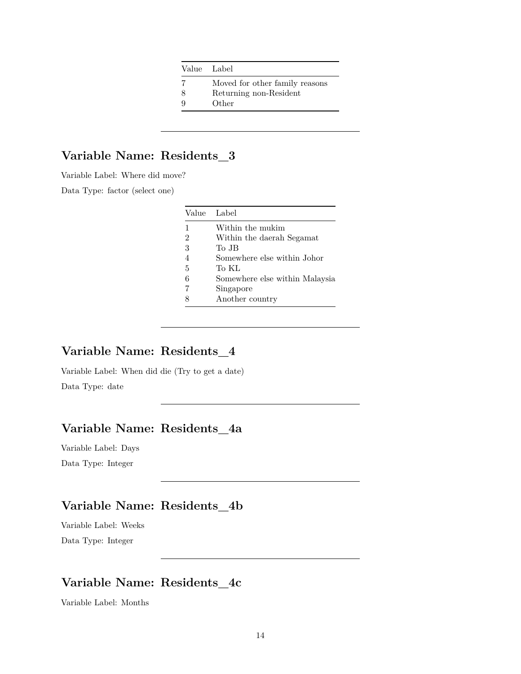| - 7 | Moved for other family reasons |
|-----|--------------------------------|
| -8  | Returning non-Resident         |

9 Other

## **Variable Name: Residents\_3**

Variable Label: Where did move?

Data Type: factor (select one)

|   | Value Label                    |
|---|--------------------------------|
| 1 | Within the mukim               |
| 2 | Within the daerah Segamat      |
| 3 | To JB                          |
|   | Somewhere else within Johor    |
| 5 | To KL                          |
| 6 | Somewhere else within Malaysia |
|   | Singapore                      |
|   | Another country                |

#### **Variable Name: Residents\_4**

Variable Label: When did die (Try to get a date) Data Type: date

### **Variable Name: Residents\_4a**

Variable Label: Days Data Type: Integer

## **Variable Name: Residents\_4b**

Variable Label: Weeks Data Type: Integer

## **Variable Name: Residents\_4c**

Variable Label: Months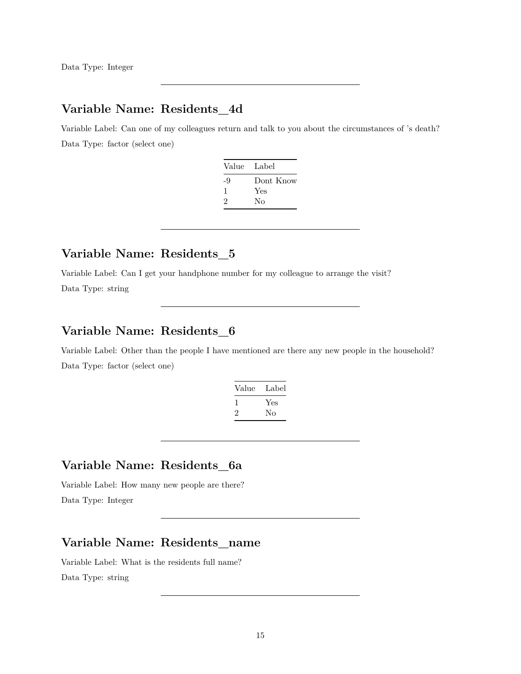Data Type: Integer

### **Variable Name: Residents\_4d**

Variable Label: Can one of my colleagues return and talk to you about the circumstances of 's death? Data Type: factor (select one)

| Value Label |           |
|-------------|-----------|
| -9          | Dont Know |
| 1           | Yes       |
| 2           | Nο        |

### **Variable Name: Residents\_5**

Variable Label: Can I get your handphone number for my colleague to arrange the visit?

Data Type: string

### **Variable Name: Residents\_6**

Variable Label: Other than the people I have mentioned are there any new people in the household? Data Type: factor (select one)

| Value | Label |
|-------|-------|
|       | Yes   |
| ۰,    | Nο    |

### **Variable Name: Residents\_6a**

Variable Label: How many new people are there? Data Type: Integer

#### **Variable Name: Residents\_name**

Variable Label: What is the residents full name? Data Type: string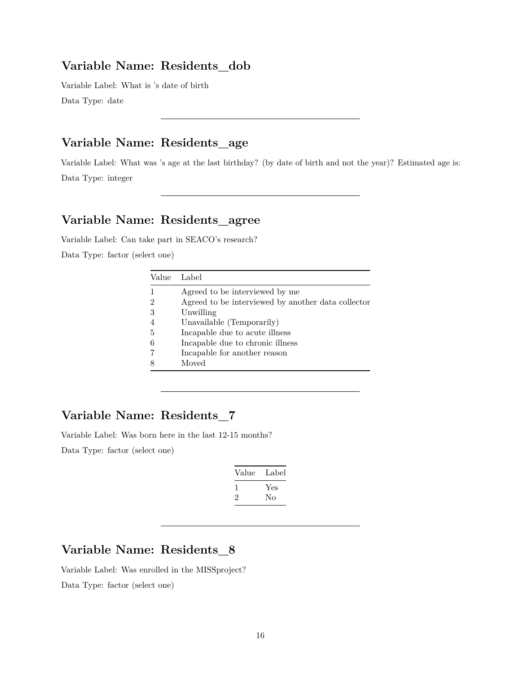#### **Variable Name: Residents\_dob**

Variable Label: What is 's date of birth Data Type: date

### **Variable Name: Residents\_age**

Variable Label: What was 's age at the last birthday? (by date of birth and not the year)? Estimated age is: Data Type: integer

#### **Variable Name: Residents\_agree**

Variable Label: Can take part in SEACO's research?

Data Type: factor (select one)

| Label                                              |
|----------------------------------------------------|
| Agreed to be interviewed by me                     |
| Agreed to be interviewed by another data collector |
| Unwilling                                          |
| Unavailable (Temporarily)                          |
| Incapable due to acute illness                     |
| Incapable due to chronic illness                   |
| Incapable for another reason                       |
| Moved                                              |
|                                                    |

### **Variable Name: Residents\_7**

Variable Label: Was born here in the last 12-15 months?

Data Type: factor (select one)

| Value | Label |
|-------|-------|
| L     | Yes   |
|       | No    |

## **Variable Name: Residents\_8**

Variable Label: Was enrolled in the MISSproject? Data Type: factor (select one)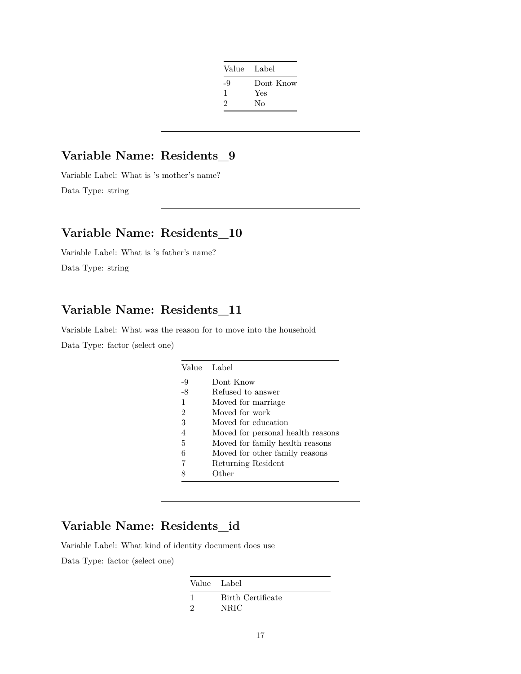| Value Label |           |
|-------------|-----------|
| -9          | Dont Know |
| -1          | Yes       |
| 2           | No        |
|             |           |

## **Variable Name: Residents\_9**

Variable Label: What is 's mother's name? Data Type: string

### **Variable Name: Residents\_10**

Variable Label: What is 's father's name? Data Type: string

## **Variable Name: Residents\_11**

Variable Label: What was the reason for to move into the household Data Type: factor (select one)

| Value          | Label                             |
|----------------|-----------------------------------|
| -9             | Dont Know                         |
| $-8$           | Refused to answer                 |
| 1              | Moved for marriage.               |
| $\overline{2}$ | Moved for work                    |
| 3              | Moved for education               |
| $\overline{4}$ | Moved for personal health reasons |
| 5              | Moved for family health reasons   |
| 6              | Moved for other family reasons    |
| 7              | Returning Resident                |
|                | Other                             |

## **Variable Name: Residents\_id**

Variable Label: What kind of identity document does use Data Type: factor (select one)

| Value Label |                   |
|-------------|-------------------|
|             | Birth Certificate |
| ാ           | NRIC              |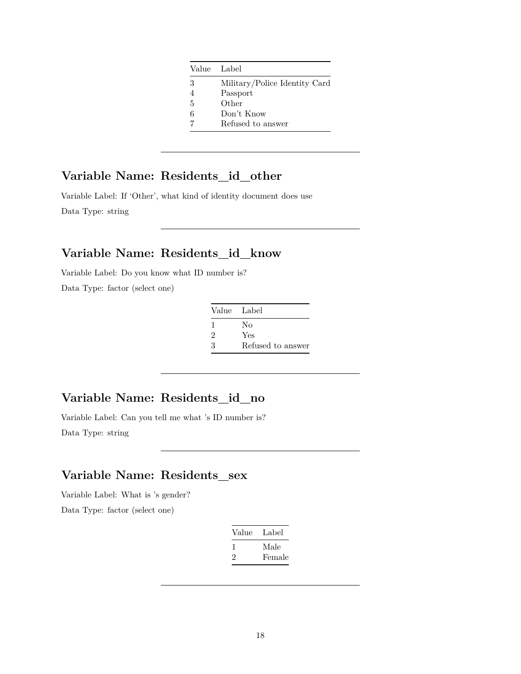|   | Value Label                   |
|---|-------------------------------|
| 3 | Military/Police Identity Card |
|   | Passport                      |
| 5 | Other                         |
| 6 | Don't Know                    |
|   | Refused to answer             |

## **Variable Name: Residents\_id\_other**

Variable Label: If 'Other', what kind of identity document does use Data Type: string

#### **Variable Name: Residents\_id\_know**

Variable Label: Do you know what ID number is?

Data Type: factor (select one)

| Value Label    |                   |
|----------------|-------------------|
| -1             | No                |
| $\mathfrak{D}$ | Yes               |
| 3              | Refused to answer |

#### **Variable Name: Residents\_id\_no**

Variable Label: Can you tell me what 's ID number is? Data Type: string

### **Variable Name: Residents\_sex**

Variable Label: What is 's gender?

| Value | Label  |
|-------|--------|
|       | Male   |
| '2    | Female |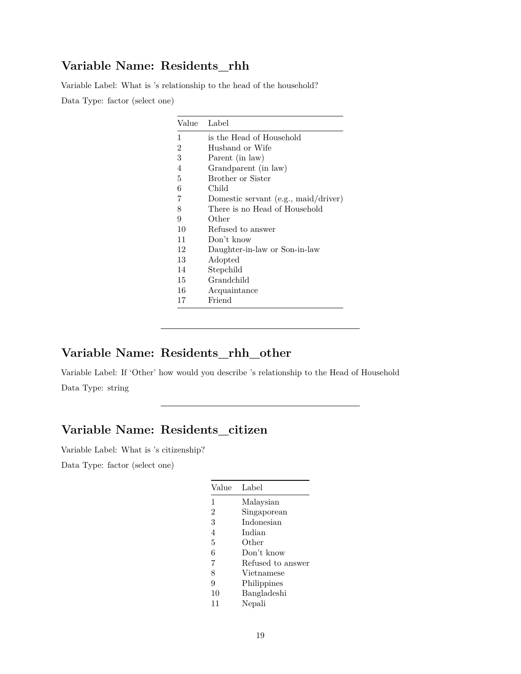### **Variable Name: Residents\_rhh**

Variable Label: What is 's relationship to the head of the household? Data Type: factor (select one)

| Value | Label                                  |
|-------|----------------------------------------|
| 1     | is the Head of Household               |
| 2     | Husband or Wife                        |
| 3     | Parent (in law)                        |
| 4     | Grandparent (in law)                   |
| 5     | Brother or Sister                      |
| 6     | Child                                  |
| 7     | Domestic servant $(e.g., mail/driver)$ |
| 8     | There is no Head of Household          |
| 9     | Other                                  |
| 10    | Refused to answer                      |
| 11    | Don't know                             |
| 12    | Daughter-in-law or Son-in-law          |
| 13    | Adopted                                |
| 14    | Stepchild                              |
| 15    | Grandchild                             |
| 16    | Acquaintance                           |
| 17    | Friend                                 |

## **Variable Name: Residents\_rhh\_other**

Variable Label: If 'Other' how would you describe 's relationship to the Head of Household Data Type: string

### **Variable Name: Residents\_citizen**

Variable Label: What is 's citizenship?

| Value          | Label             |
|----------------|-------------------|
| 1              | Malaysian         |
| $\overline{2}$ | Singaporean       |
| 3              | Indonesian        |
| $\overline{4}$ | Indian            |
| 5              | Other             |
| 6              | Don't know        |
| 7              | Refused to answer |
| 8              | Vietnamese        |
| 9              | Philippines       |
| 10             | Bangladeshi       |
| 11             | Nepali            |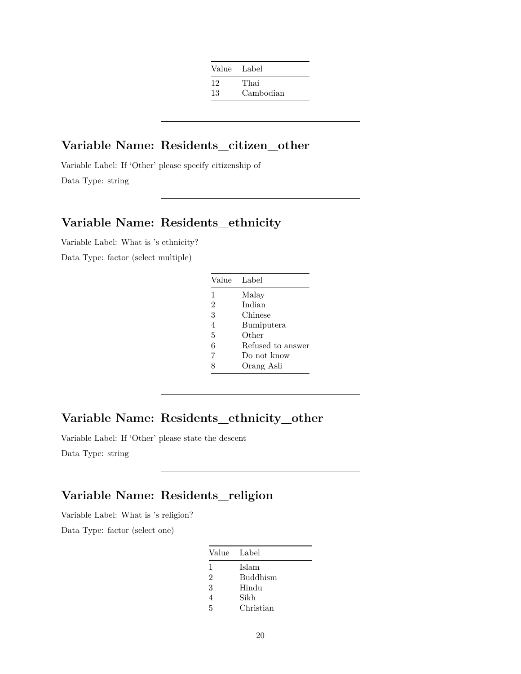| Value Label |           |
|-------------|-----------|
| 12          | Thai      |
| 13          | Cambodian |

#### **Variable Name: Residents\_citizen\_other**

Variable Label: If 'Other' please specify citizenship of Data Type: string

### **Variable Name: Residents\_ethnicity**

Variable Label: What is 's ethnicity?

Data Type: factor (select multiple)

| Value          | Label             |
|----------------|-------------------|
| $\mathbf{1}$   | Malay             |
| $\mathfrak{D}$ | Indian            |
| 3              | Chinese           |
| 4              | Bumiputera        |
| 5              | Other             |
| 6              | Refused to answer |
| 7              | Do not know       |
|                | Orang Asli        |

### **Variable Name: Residents\_ethnicity\_other**

Variable Label: If 'Other' please state the descent

Data Type: string

## **Variable Name: Residents\_religion**

Variable Label: What is 's religion?

| Value Label    |                 |
|----------------|-----------------|
| 1              | Islam           |
| $\mathfrak{D}$ | <b>Buddhism</b> |
| 3              | Hindu           |
| 4              | Sikh            |
| 5              | Christian       |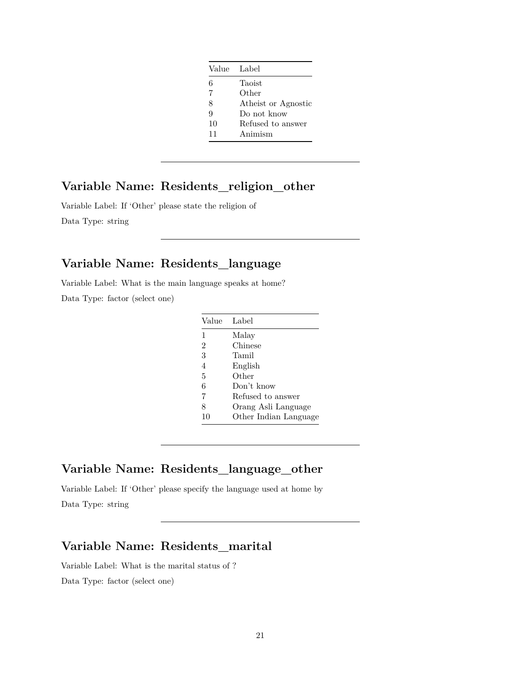|    | Value Label         |
|----|---------------------|
| 6  | Taoist              |
|    | Other               |
| 8  | Atheist or Agnostic |
| 9  | Do not know         |
| 10 | Refused to answer   |
| 11 | Animism             |

#### **Variable Name: Residents\_religion\_other**

Variable Label: If 'Other' please state the religion of Data Type: string

## **Variable Name: Residents\_language**

Variable Label: What is the main language speaks at home? Data Type: factor (select one)

| Value          | Label                 |
|----------------|-----------------------|
| 1              | Malay                 |
| $\overline{2}$ | Chinese               |
| 3              | Tamil                 |
| 4              | English               |
| 5              | Other                 |
| 6              | Don't know            |
| 7              | Refused to answer     |
| 8              | Orang Asli Language   |
| 10             | Other Indian Language |

#### **Variable Name: Residents\_language\_other**

Variable Label: If 'Other' please specify the language used at home by Data Type: string

## **Variable Name: Residents\_marital**

Variable Label: What is the marital status of ?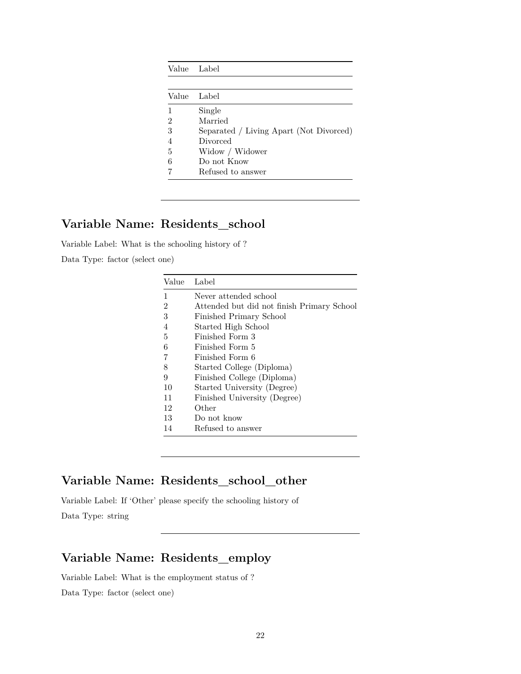|                | Value Label                             |
|----------------|-----------------------------------------|
|                |                                         |
| Value          | Label                                   |
|                | Single                                  |
| 2              | Married                                 |
| 3              | Separated / Living Apart (Not Divorced) |
| $\overline{4}$ | Divorced                                |
| 5              | Widow / Widower                         |
| 6              | Do not Know                             |
|                | Refused to answer                       |

### **Variable Name: Residents\_school**

Variable Label: What is the schooling history of ?

Data Type: factor (select one)

| Value          | Label                                      |
|----------------|--------------------------------------------|
| 1              | Never attended school                      |
| $\overline{2}$ | Attended but did not finish Primary School |
| 3              | Finished Primary School                    |
| 4              | Started High School                        |
| 5              | Finished Form 3                            |
| 6              | Finished Form 5                            |
| $\overline{7}$ | Finished Form 6                            |
| 8              | Started College (Diploma)                  |
| 9              | Finished College (Diploma)                 |
| 10             | Started University (Degree)                |
| 11             | Finished University (Degree)               |
| 12             | Other                                      |
| 13             | Do not know                                |
| 14             | Refused to answer                          |

### **Variable Name: Residents\_school\_other**

Variable Label: If 'Other' please specify the schooling history of Data Type: string

### **Variable Name: Residents\_employ**

Variable Label: What is the employment status of ? Data Type: factor (select one)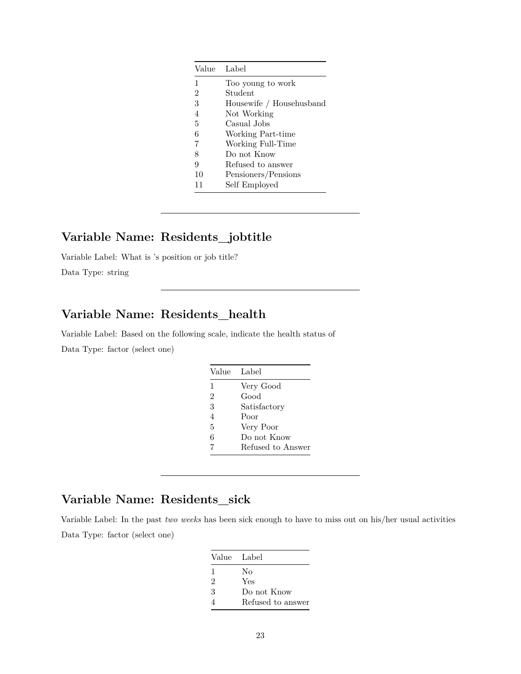|                | Value Label              |
|----------------|--------------------------|
| 1              | Too young to work        |
| $\overline{2}$ | Student                  |
| 3              | Housewife / Househusband |
| 4              | Not Working              |
| 5              | Casual Jobs              |
| 6              | Working Part-time        |
| 7              | Working Full-Time        |
| 8              | Do not Know              |
| 9              | Refused to answer        |
| 10             | Pensioners/Pensions      |
| 11             | Self Employed            |

#### **Variable Name: Residents\_jobtitle**

Variable Label: What is 's position or job title?

Data Type: string

## **Variable Name: Residents\_health**

Variable Label: Based on the following scale, indicate the health status of Data Type: factor (select one)

|                | Value Label       |
|----------------|-------------------|
| 1              | Very Good         |
| $\overline{2}$ | Good              |
| 3              | Satisfactory      |
| 4              | Poor              |
| 5              | Very Poor         |
| 6              | Do not Know       |
| 7              | Refused to Answer |

## **Variable Name: Residents\_sick**

Variable Label: In the past *two weeks* has been sick enough to have to miss out on his/her usual activities Data Type: factor (select one)

| Value Label                 |                   |
|-----------------------------|-------------------|
| 1                           | No                |
| $\mathcal{D}_{\mathcal{L}}$ | Yes               |
| 3                           | Do not Know       |
|                             | Refused to answer |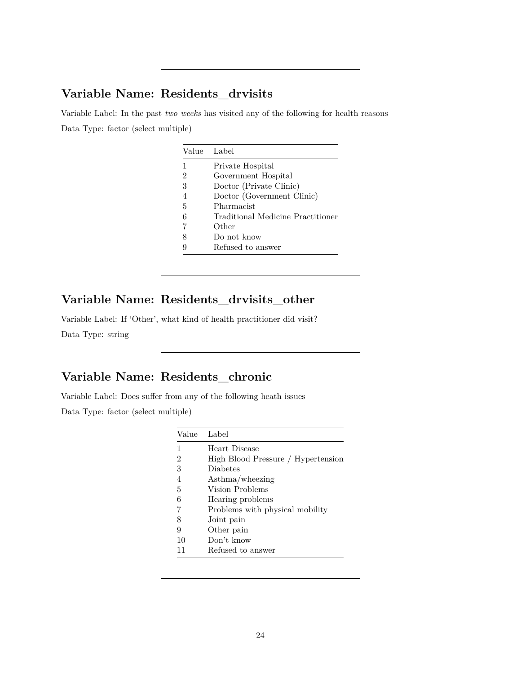### **Variable Name: Residents\_drvisits**

Variable Label: In the past *two weeks* has visited any of the following for health reasons Data Type: factor (select multiple)

|   | Value Label                       |
|---|-----------------------------------|
|   | Private Hospital                  |
| 2 | Government Hospital               |
| 3 | Doctor (Private Clinic)           |
| 4 | Doctor (Government Clinic)        |
| 5 | Pharmacist                        |
| 6 | Traditional Medicine Practitioner |
| 7 | Other                             |
| 8 | Do not know                       |
|   | Refused to answer                 |

## **Variable Name: Residents\_drvisits\_other**

Variable Label: If 'Other', what kind of health practitioner did visit? Data Type: string

### **Variable Name: Residents\_chronic**

Variable Label: Does suffer from any of the following heath issues

Data Type: factor (select multiple)

| Value Label |                                    |
|-------------|------------------------------------|
| 1           | Heart Disease                      |
| 2           | High Blood Pressure / Hypertension |
| 3           | <b>Diabetes</b>                    |
| 4           | $\text{Asthma/wheezing}$           |
| 5           | Vision Problems                    |
| 6           | Hearing problems                   |
| 7           | Problems with physical mobility    |
| 8           | Joint pain                         |
| 9           | Other pain                         |
| 10          | Don't know                         |
|             | Refused to answer                  |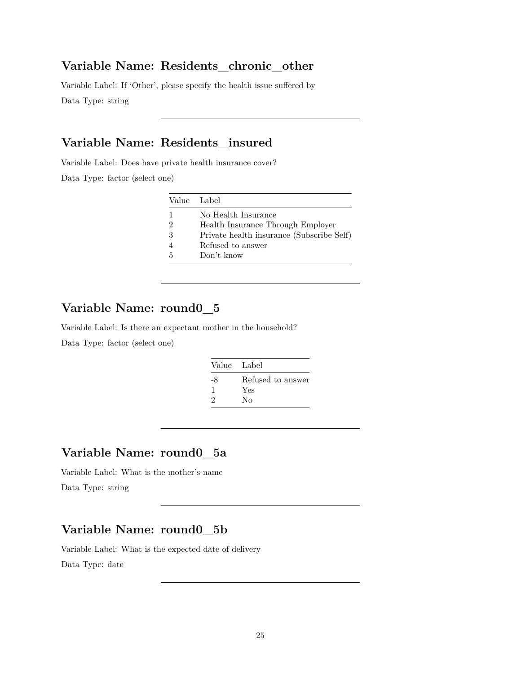#### **Variable Name: Residents\_chronic\_other**

Variable Label: If 'Other', please specify the health issue suffered by Data Type: string

### **Variable Name: Residents\_insured**

Variable Label: Does have private health insurance cover?

Data Type: factor (select one)

| Value Label   |                                           |
|---------------|-------------------------------------------|
|               | No Health Insurance                       |
| $\mathcal{D}$ | Health Insurance Through Employer         |
| -3            | Private health insurance (Subscribe Self) |
|               | Refused to answer                         |
| .5            | Don't know                                |

## **Variable Name: round0\_5**

Variable Label: Is there an expectant mother in the household?

Data Type: factor (select one)

| Value Label |                   |
|-------------|-------------------|
| -8          | Refused to answer |
|             | Yes               |
| 2           | Nο                |

### **Variable Name: round0\_5a**

Variable Label: What is the mother's name Data Type: string

### **Variable Name: round0\_5b**

Variable Label: What is the expected date of delivery

Data Type: date